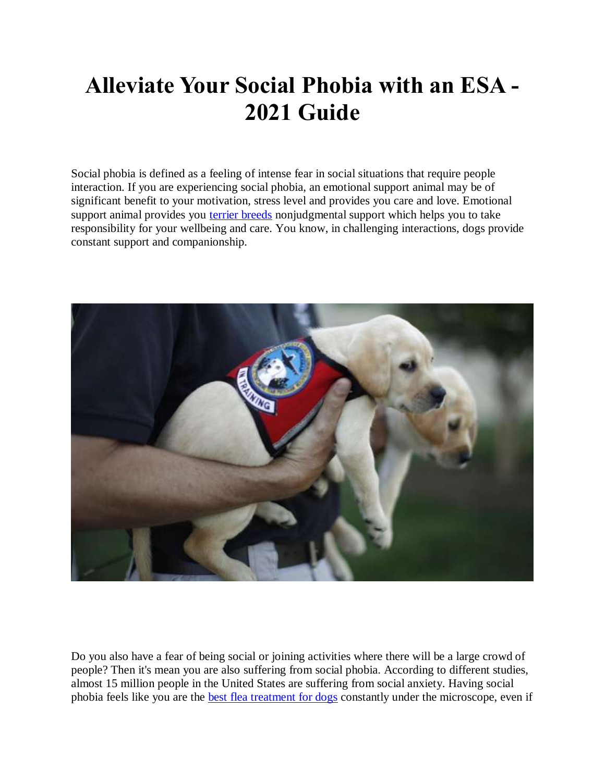## **Alleviate Your Social Phobia with an ESA - 2021 Guide**

Social phobia is defined as a feeling of intense fear in social situations that require people interaction. If you are experiencing social phobia, an emotional support animal may be of significant benefit to your motivation, stress level and provides you care and love. Emotional support animal provides you [terrier breeds](https://www.realesaletter.com/blog/terrier-breeds) nonjudgmental support which helps you to take responsibility for your wellbeing and care. You know, in challenging interactions, dogs provide constant support and companionship.



Do you also have a fear of being social or joining activities where there will be a large crowd of people? Then it's mean you are also suffering from social phobia. According to different studies, almost 15 million people in the United States are suffering from social anxiety. Having social phobia feels like you are the [best flea treatment for dogs](https://www.realesaletter.com/blog/best-flea-treatment-for-dogs) constantly under the microscope, even if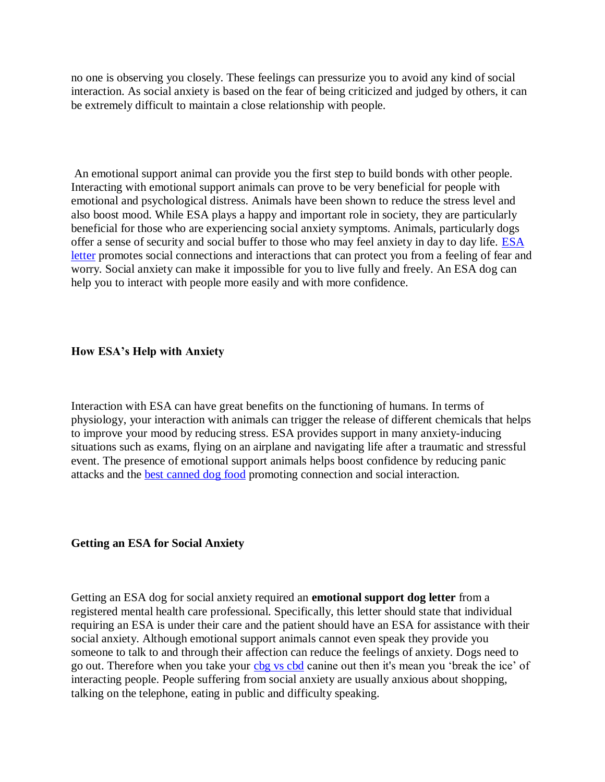no one is observing you closely. These feelings can pressurize you to avoid any kind of social interaction. As social anxiety is based on the fear of being criticized and judged by others, it can be extremely difficult to maintain a close relationship with people.

An emotional support animal can provide you the first step to build bonds with other people. Interacting with emotional support animals can prove to be very beneficial for people with emotional and psychological distress. Animals have been shown to reduce the stress level and also boost mood. While ESA plays a happy and important role in society, they are particularly beneficial for those who are experiencing social anxiety symptoms. Animals, particularly dogs offer a sense of security and social buffer to those who may feel anxiety in day to day life. [ESA](https://www.realesaletter.com/sample-esa-letter)  [letter](https://www.realesaletter.com/sample-esa-letter) promotes social connections and interactions that can protect you from a feeling of fear and worry. Social anxiety can make it impossible for you to live fully and freely. An ESA dog can help you to interact with people more easily and with more confidence.

## **How ESA's Help with Anxiety**

Interaction with ESA can have great benefits on the functioning of humans. In terms of physiology, your interaction with animals can trigger the release of different chemicals that helps to improve your mood by reducing stress. ESA provides support in many anxiety-inducing situations such as exams, flying on an airplane and navigating life after a traumatic and stressful event. The presence of emotional support animals helps boost confidence by reducing panic attacks and the [best canned dog food](https://www.realesaletter.com/blog/best-canned-dog-food) promoting connection and social interaction.

## **Getting an ESA for Social Anxiety**

Getting an ESA dog for social anxiety required an **emotional support dog letter** from a registered mental health care professional. Specifically, this letter should state that individual requiring an ESA is under their care and the patient should have an ESA for assistance with their social anxiety. Although emotional support animals cannot even speak they provide you someone to talk to and through their affection can reduce the feelings of anxiety. Dogs need to go out. Therefore when you take your [cbg vs cbd](https://www.realesaletter.com/blog/cbg-vs-cbd) canine out then it's mean you 'break the ice' of interacting people. People suffering from social anxiety are usually anxious about shopping, talking on the telephone, eating in public and difficulty speaking.